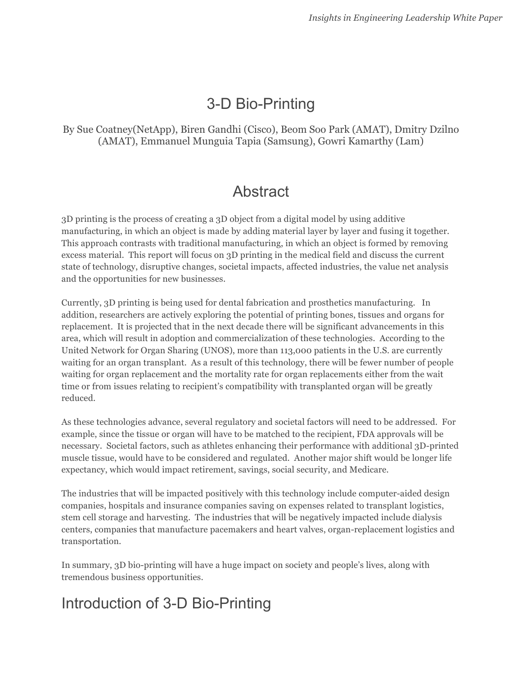# 3-D Bio-Printing

#### By Sue Coatney(NetApp), Biren Gandhi (Cisco), Beom Soo Park (AMAT), Dmitry Dzilno (AMAT), Emmanuel Munguia Tapia (Samsung), Gowri Kamarthy (Lam)

### Abstract

3D printing is the process of creating a 3D object from a digital model by using additive manufacturing, in which an object is made by adding material layer by layer and fusing it together. This approach contrasts with traditional manufacturing, in which an object is formed by removing excess material. This report will focus on 3D printing in the medical field and discuss the current state of technology, disruptive changes, societal impacts, affected industries, the value net analysis and the opportunities for new businesses.

Currently, 3D printing is being used for dental fabrication and prosthetics manufacturing. In addition, researchers are actively exploring the potential of printing bones, tissues and organs for replacement. It is projected that in the next decade there will be significant advancements in this area, which will result in adoption and commercialization of these technologies. According to the United Network for Organ Sharing (UNOS), more than 113,000 patients in the U.S. are currently waiting for an organ transplant. As a result of this technology, there will be fewer number of people waiting for organ replacement and the mortality rate for organ replacements either from the wait time or from issues relating to recipient's compatibility with transplanted organ will be greatly reduced.

As these technologies advance, several regulatory and societal factors will need to be addressed. For example, since the tissue or organ will have to be matched to the recipient, FDA approvals will be necessary. Societal factors, such as athletes enhancing their performance with additional 3D-printed muscle tissue, would have to be considered and regulated. Another major shift would be longer life expectancy, which would impact retirement, savings, social security, and Medicare.

The industries that will be impacted positively with this technology include computer-aided design companies, hospitals and insurance companies saving on expenses related to transplant logistics, stem cell storage and harvesting. The industries that will be negatively impacted include dialysis centers, companies that manufacture pacemakers and heart valves, organ-replacement logistics and transportation.

In summary, 3D bio-printing will have a huge impact on society and people's lives, along with tremendous business opportunities.

### Introduction of 3-D Bio-Printing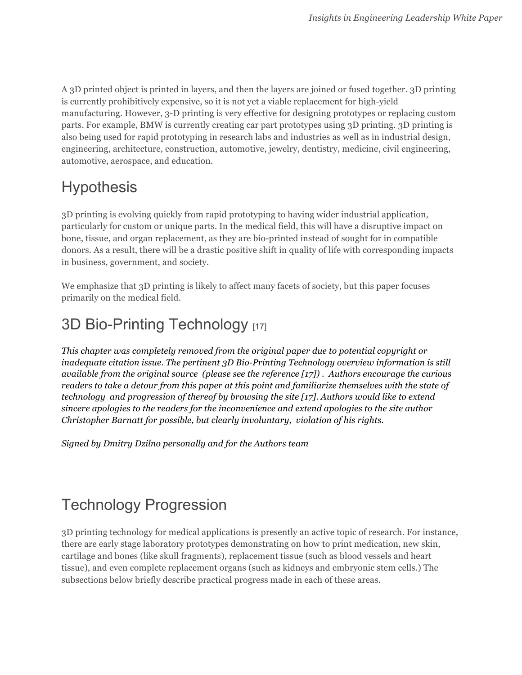A 3D printed object is printed in layers, and then the layers are joined or fused together. 3D printing is currently prohibitively expensive, so it is not yet a viable replacement for high-yield manufacturing. However, 3-D printing is very effective for designing prototypes or replacing custom parts. For example, BMW is currently creating car part prototypes using 3D printing. 3D printing is also being used for rapid prototyping in research labs and industries as well as in industrial design, engineering, architecture, construction, automotive, jewelry, dentistry, medicine, civil engineering, automotive, aerospace, and education.

### **Hypothesis**

3D printing is evolving quickly from rapid prototyping to having wider industrial application, particularly for custom or unique parts. In the medical field, this will have a disruptive impact on bone, tissue, and organ replacement, as they are bio-printed instead of sought for in compatible donors. As a result, there will be a drastic positive shift in quality of life with corresponding impacts in business, government, and society.

We emphasize that 3D printing is likely to affect many facets of society, but this paper focuses primarily on the medical field.

# 3D Bio-Printing Technology [17]

*This chapter was completely removed from the original paper due to potential copyright or inadequate citation issue. The pertinent 3D Bio-Printing Technology overview information is still available from the original source (please see the reference [17]) . Authors encourage the curious readers to take a detour from this paper at this point and familiarize themselves with the state of technology and progression of thereof by browsing the site [17]. Authors would like to extend sincere apologies to the readers for the inconvenience and extend apologies to the site author Christopher Barnatt for possible, but clearly involuntary, violation of his rights.*

*Signed by Dmitry Dzilno personally and for the Authors team* 

# Technology Progression

3D printing technology for medical applications is presently an active topic of research. For instance, there are early stage laboratory prototypes demonstrating on how to print medication, new skin, cartilage and bones (like skull fragments), replacement tissue (such as blood vessels and heart tissue), and even complete replacement organs (such as kidneys and embryonic stem cells.) The subsections below briefly describe practical progress made in each of these areas.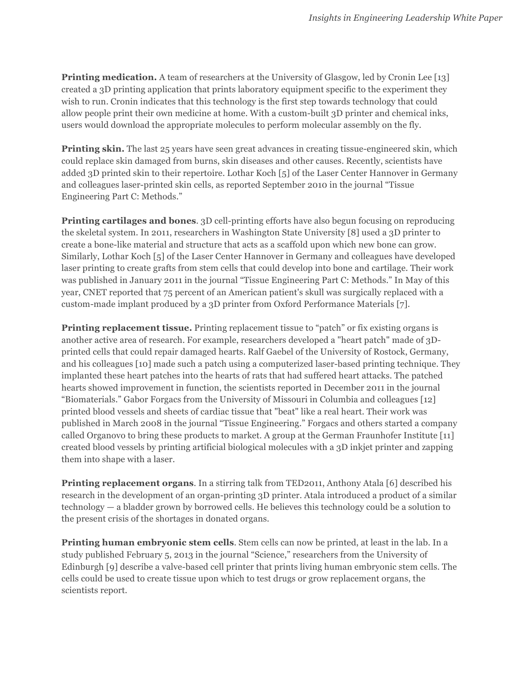**Printing medication.** A team of researchers at the University of Glasgow, led by Cronin Lee [13] created a 3D printing application that prints laboratory equipment specific to the experiment they wish to run. Cronin indicates that this technology is the first step towards technology that could allow people print their own medicine at home. With a custom-built 3D printer and chemical inks, users would download the appropriate molecules to perform molecular assembly on the fly.

**Printing skin.** The last 25 years have seen great advances in creating tissue-engineered skin, which could replace skin damaged from burns, skin diseases and other causes. Recently, scientists have added 3D printed skin to their repertoire. Lothar Koch [5] of the Laser Center Hannover in Germany and colleagues laser-printed skin cells, as reported September 2010 in the journal "Tissue Engineering Part C: Methods."

**Printing cartilages and bones**. 3D cell-printing efforts have also begun focusing on reproducing the skeletal system. In 2011, researchers in Washington State University [8] used a 3D printer to create a bone-like material and structure that acts as a scaffold upon which new bone can grow. Similarly, Lothar Koch [5] of the Laser Center Hannover in Germany and colleagues have developed laser printing to create grafts from stem cells that could develop into bone and cartilage. Their work was published in January 2011 in the journal "Tissue Engineering Part C: Methods." In May of this year, CNET reported that 75 percent of an American patient's skull was surgically replaced with a custom-made implant produced by a 3D printer from Oxford Performance Materials [7].

**Printing replacement tissue.** Printing replacement tissue to "patch" or fix existing organs is another active area of research. For example, researchers developed a "heart patch" made of 3Dprinted cells that could repair damaged hearts. Ralf Gaebel of the University of Rostock, Germany, and his colleagues [10] made such a patch using a computerized laser-based printing technique. They implanted these heart patches into the hearts of rats that had suffered heart attacks. The patched hearts showed improvement in function, the scientists reported in December 2011 in the journal "Biomaterials." Gabor Forgacs from the University of Missouri in Columbia and colleagues [12] printed blood vessels and sheets of cardiac tissue that "beat" like a real heart. Their work was published in March 2008 in the journal "Tissue Engineering." Forgacs and others started a company called Organovo to bring these products to market. A group at the German Fraunhofer Institute [11] created blood vessels by printing artificial biological molecules with a 3D inkjet printer and zapping them into shape with a laser.

**Printing replacement organs**. In a stirring talk from TED2011, Anthony Atala [6] described his research in the development of an organ-printing 3D printer. Atala introduced a product of a similar technology — a bladder grown by borrowed cells. He believes this technology could be a solution to the present crisis of the shortages in donated organs.

**Printing human embryonic stem cells.** Stem cells can now be printed, at least in the lab. In a study published February 5, 2013 in the journal "Science," researchers from the University of Edinburgh [9] describe a valve-based cell printer that prints living human embryonic stem cells. The cells could be used to create tissue upon which to test drugs or grow replacement organs, the scientists report.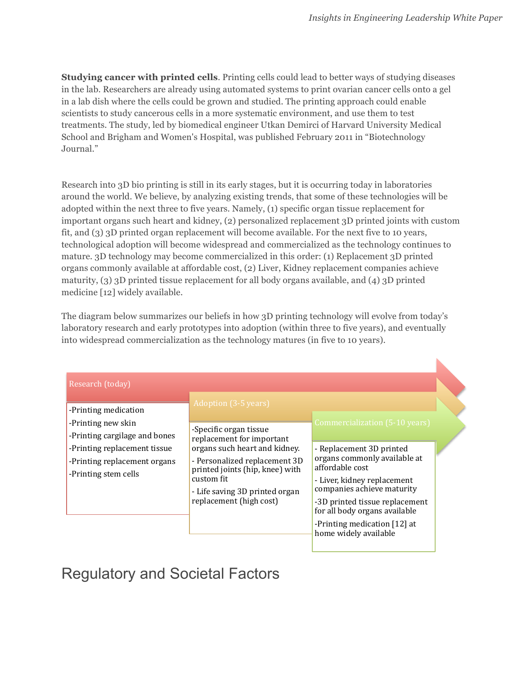$\blacktriangleright$ 

**Studying cancer with printed cells**. Printing cells could lead to better ways of studying diseases in the lab. Researchers are already using automated systems to print ovarian cancer cells onto a gel in a lab dish where the cells could be grown and studied. The printing approach could enable scientists to study cancerous cells in a more systematic environment, and use them to test treatments. The study, led by biomedical engineer Utkan Demirci of Harvard University Medical School and Brigham and Women's Hospital, was published February 2011 in "Biotechnology Journal."

Research into 3D bio printing is still in its early stages, but it is occurring today in laboratories around the world. We believe, by analyzing existing trends, that some of these technologies will be adopted within the next three to five years. Namely, (1) specific organ tissue replacement for important organs such heart and kidney, (2) personalized replacement 3D printed joints with custom fit, and (3) 3D printed organ replacement will become available. For the next five to 10 years, technological adoption will become widespread and commercialized as the technology continues to mature. 3D technology may become commercialized in this order: (1) Replacement 3D printed organs commonly available at affordable cost, (2) Liver, Kidney replacement companies achieve maturity, (3) 3D printed tissue replacement for all body organs available, and (4) 3D printed medicine [12] widely available.

The diagram below summarizes our beliefs in how 3D printing technology will evolve from today's laboratory research and early prototypes into adoption (within three to five years), and eventually into widespread commercialization as the technology matures (in five to 10 years).

| Research (today)                                                                                                                                                    |                                                                                                                                                                                                                                                             |                                                                                                                                                                                                                                                                                                        |  |
|---------------------------------------------------------------------------------------------------------------------------------------------------------------------|-------------------------------------------------------------------------------------------------------------------------------------------------------------------------------------------------------------------------------------------------------------|--------------------------------------------------------------------------------------------------------------------------------------------------------------------------------------------------------------------------------------------------------------------------------------------------------|--|
| -Printing medication<br>-Printing new skin<br>-Printing cargilage and bones<br>-Printing replacement tissue<br>-Printing replacement organs<br>-Printing stem cells | Adoption (3-5 years)<br>-Specific organ tissue<br>replacement for important<br>organs such heart and kidney.<br>- Personalized replacement 3D<br>printed joints (hip, knee) with<br>custom fit<br>- Life saving 3D printed organ<br>replacement (high cost) | Commercialization (5-10 years)<br>- Replacement 3D printed<br>organs commonly available at<br>affordable cost<br>- Liver, kidney replacement<br>companies achieve maturity<br>-3D printed tissue replacement<br>for all body organs available<br>-Printing medication [12] at<br>home widely available |  |

Regulatory and Societal Factors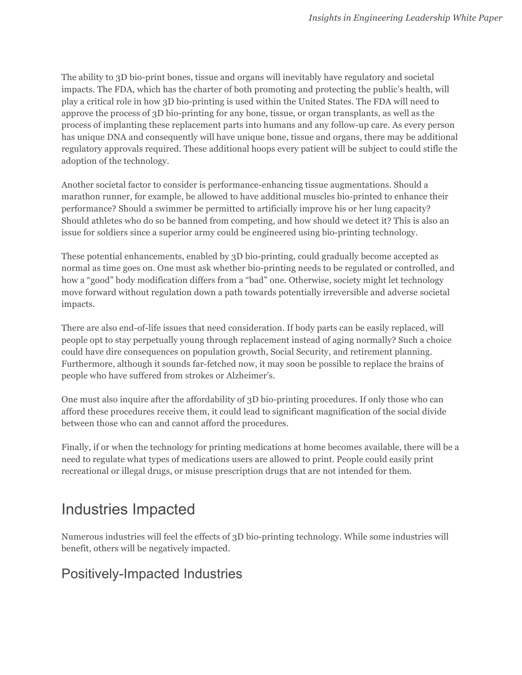The ability to 3D bio-print bones, tissue and organs will inevitably have regulatory and societal impacts. The FDA, which has the charter of both promoting and protecting the public's health, will play a critical role in how 3D bio-printing is used within the United States. The FDA will need to approve the process of 3D bio-printing for any bone, tissue, or organ transplants, as well as the process of implanting these replacement parts into humans and any follow-up care. As every person has unique DNA and consequently will have unique bone, tissue and organs, there may be additional regulatory approvals required. These additional hoops every patient will be subject to could stifle the adoption of the technology.

Another societal factor to consider is performance-enhancing tissue augmentations. Should a marathon runner, for example, be allowed to have additional muscles bio-printed to enhance their performance? Should a swimmer be permitted to artificially improve his or her lung capacity? Should athletes who do so be banned from competing, and how should we detect it? This is also an issue for soldiers since a superior army could be engineered using bio-printing technology.

These potential enhancements, enabled by 3D bio-printing, could gradually become accepted as normal as time goes on. One must ask whether bio-printing needs to be regulated or controlled, and how a "good" body modification differs from a "bad" one. Otherwise, society might let technology move forward without regulation down a path towards potentially irreversible and adverse societal impacts.

There are also end-of-life issues that need consideration. If body parts can be easily replaced, will people opt to stay perpetually young through replacement instead of aging normally? Such a choice could have dire consequences on population growth, Social Security, and retirement planning. Furthermore, although it sounds far-fetched now, it may soon be possible to replace the brains of people who have suffered from strokes or Alzheimer's.

One must also inquire after the affordability of 3D bio-printing procedures. If only those who can afford these procedures receive them, it could lead to significant magnification of the social divide between those who can and cannot afford the procedures.

Finally, if or when the technology for printing medications at home becomes available, there will be a need to regulate what types of medications users are allowed to print. People could easily print recreational or illegal drugs, or misuse prescription drugs that are not intended for them.

### Industries Impacted

Numerous industries will feel the effects of 3D bio-printing technology. While some industries will benefit, others will be negatively impacted.

### Positively-Impacted Industries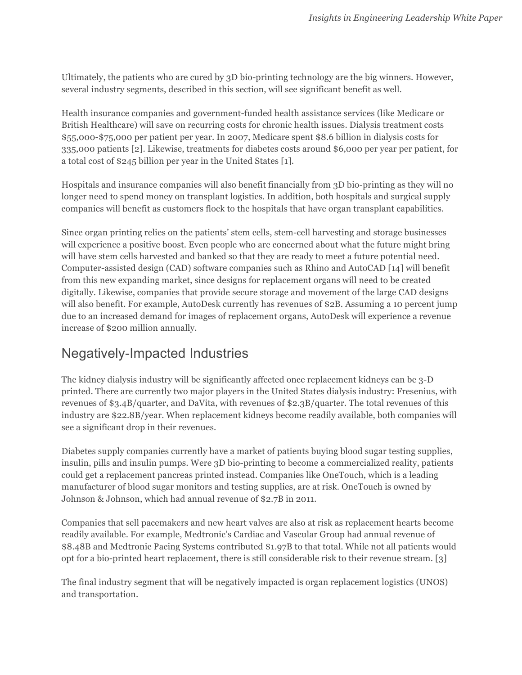Ultimately, the patients who are cured by 3D bio-printing technology are the big winners. However, several industry segments, described in this section, will see significant benefit as well.

Health insurance companies and government-funded health assistance services (like Medicare or British Healthcare) will save on recurring costs for chronic health issues. Dialysis treatment costs \$55,000-\$75,000 per patient per year. In 2007, Medicare spent \$8.6 billion in dialysis costs for 335,000 patients [2]. Likewise, treatments for diabetes costs around \$6,000 per year per patient, for a total cost of \$245 billion per year in the United States [1].

Hospitals and insurance companies will also benefit financially from 3D bio-printing as they will no longer need to spend money on transplant logistics. In addition, both hospitals and surgical supply companies will benefit as customers flock to the hospitals that have organ transplant capabilities.

Since organ printing relies on the patients' stem cells, stem-cell harvesting and storage businesses will experience a positive boost. Even people who are concerned about what the future might bring will have stem cells harvested and banked so that they are ready to meet a future potential need. Computer-assisted design (CAD) software companies such as Rhino and AutoCAD [14] will benefit from this new expanding market, since designs for replacement organs will need to be created digitally. Likewise, companies that provide secure storage and movement of the large CAD designs will also benefit. For example, AutoDesk currently has revenues of \$2B. Assuming a 10 percent jump due to an increased demand for images of replacement organs, AutoDesk will experience a revenue increase of \$200 million annually.

### Negatively-Impacted Industries

The kidney dialysis industry will be significantly affected once replacement kidneys can be 3-D printed. There are currently two major players in the United States dialysis industry: Fresenius, with revenues of \$3.4B/quarter, and DaVita, with revenues of \$2.3B/quarter. The total revenues of this industry are \$22.8B/year. When replacement kidneys become readily available, both companies will see a significant drop in their revenues.

Diabetes supply companies currently have a market of patients buying blood sugar testing supplies, insulin, pills and insulin pumps. Were 3D bio-printing to become a commercialized reality, patients could get a replacement pancreas printed instead. Companies like OneTouch, which is a leading manufacturer of blood sugar monitors and testing supplies, are at risk. OneTouch is owned by Johnson & Johnson, which had annual revenue of \$2.7B in 2011.

Companies that sell pacemakers and new heart valves are also at risk as replacement hearts become readily available. For example, Medtronic's Cardiac and Vascular Group had annual revenue of \$8.48B and Medtronic Pacing Systems contributed \$1.97B to that total. While not all patients would opt for a bio-printed heart replacement, there is still considerable risk to their revenue stream. [3]

The final industry segment that will be negatively impacted is organ replacement logistics (UNOS) and transportation.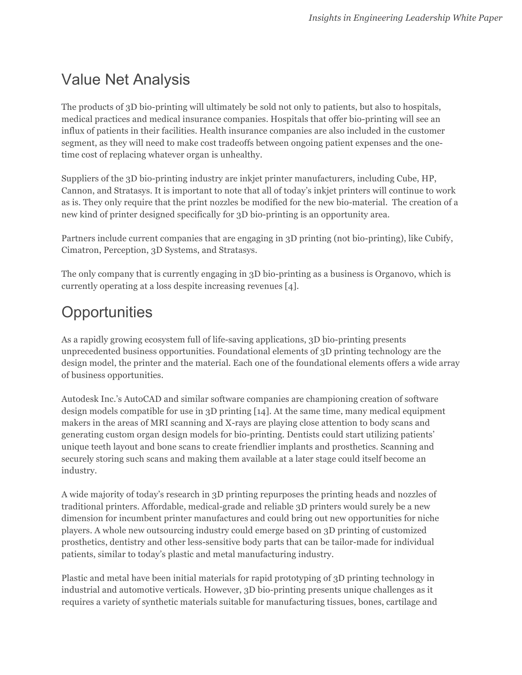# Value Net Analysis

The products of 3D bio-printing will ultimately be sold not only to patients, but also to hospitals, medical practices and medical insurance companies. Hospitals that offer bio-printing will see an influx of patients in their facilities. Health insurance companies are also included in the customer segment, as they will need to make cost tradeoffs between ongoing patient expenses and the onetime cost of replacing whatever organ is unhealthy.

Suppliers of the 3D bio-printing industry are inkjet printer manufacturers, including Cube, HP, Cannon, and Stratasys. It is important to note that all of today's inkjet printers will continue to work as is. They only require that the print nozzles be modified for the new bio-material. The creation of a new kind of printer designed specifically for 3D bio-printing is an opportunity area.

Partners include current companies that are engaging in 3D printing (not bio-printing), like Cubify, Cimatron, Perception, 3D Systems, and Stratasys.

The only company that is currently engaging in 3D bio-printing as a business is Organovo, which is currently operating at a loss despite increasing revenues [4].

# **Opportunities**

As a rapidly growing ecosystem full of life-saving applications, 3D bio-printing presents unprecedented business opportunities. Foundational elements of 3D printing technology are the design model, the printer and the material. Each one of the foundational elements offers a wide array of business opportunities.

Autodesk Inc.'s AutoCAD and similar software companies are championing creation of software design models compatible for use in 3D printing [14]. At the same time, many medical equipment makers in the areas of MRI scanning and X-rays are playing close attention to body scans and generating custom organ design models for bio-printing. Dentists could start utilizing patients' unique teeth layout and bone scans to create friendlier implants and prosthetics. Scanning and securely storing such scans and making them available at a later stage could itself become an industry.

A wide majority of today's research in 3D printing repurposes the printing heads and nozzles of traditional printers. Affordable, medical-grade and reliable 3D printers would surely be a new dimension for incumbent printer manufactures and could bring out new opportunities for niche players. A whole new outsourcing industry could emerge based on 3D printing of customized prosthetics, dentistry and other less-sensitive body parts that can be tailor-made for individual patients, similar to today's plastic and metal manufacturing industry.

Plastic and metal have been initial materials for rapid prototyping of 3D printing technology in industrial and automotive verticals. However, 3D bio-printing presents unique challenges as it requires a variety of synthetic materials suitable for manufacturing tissues, bones, cartilage and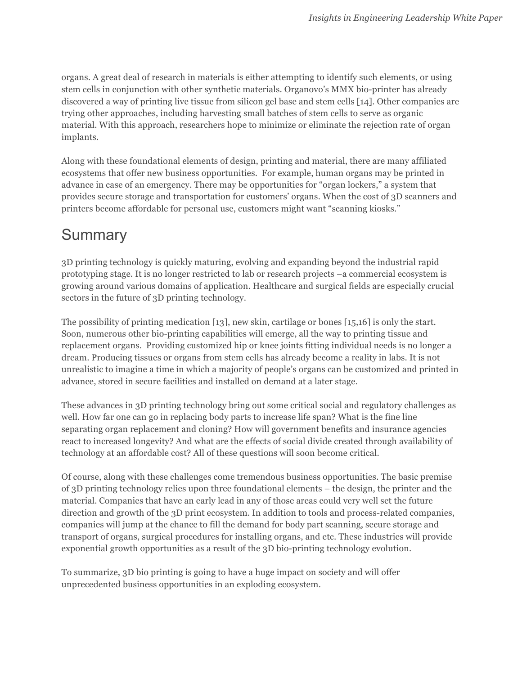organs. A great deal of research in materials is either attempting to identify such elements, or using stem cells in conjunction with other synthetic materials. Organovo's MMX bio-printer has already discovered a way of printing live tissue from silicon gel base and stem cells [14]. Other companies are trying other approaches, including harvesting small batches of stem cells to serve as organic material. With this approach, researchers hope to minimize or eliminate the rejection rate of organ implants.

Along with these foundational elements of design, printing and material, there are many affiliated ecosystems that offer new business opportunities. For example, human organs may be printed in advance in case of an emergency. There may be opportunities for "organ lockers," a system that provides secure storage and transportation for customers' organs. When the cost of 3D scanners and printers become affordable for personal use, customers might want "scanning kiosks."

### **Summary**

3D printing technology is quickly maturing, evolving and expanding beyond the industrial rapid prototyping stage. It is no longer restricted to lab or research projects –a commercial ecosystem is growing around various domains of application. Healthcare and surgical fields are especially crucial sectors in the future of 3D printing technology.

The possibility of printing medication [13], new skin, cartilage or bones [15,16] is only the start. Soon, numerous other bio-printing capabilities will emerge, all the way to printing tissue and replacement organs. Providing customized hip or knee joints fitting individual needs is no longer a dream. Producing tissues or organs from stem cells has already become a reality in labs. It is not unrealistic to imagine a time in which a majority of people's organs can be customized and printed in advance, stored in secure facilities and installed on demand at a later stage.

These advances in 3D printing technology bring out some critical social and regulatory challenges as well. How far one can go in replacing body parts to increase life span? What is the fine line separating organ replacement and cloning? How will government benefits and insurance agencies react to increased longevity? And what are the effects of social divide created through availability of technology at an affordable cost? All of these questions will soon become critical.

Of course, along with these challenges come tremendous business opportunities. The basic premise of 3D printing technology relies upon three foundational elements – the design, the printer and the material. Companies that have an early lead in any of those areas could very well set the future direction and growth of the 3D print ecosystem. In addition to tools and process-related companies, companies will jump at the chance to fill the demand for body part scanning, secure storage and transport of organs, surgical procedures for installing organs, and etc. These industries will provide exponential growth opportunities as a result of the 3D bio-printing technology evolution.

To summarize, 3D bio printing is going to have a huge impact on society and will offer unprecedented business opportunities in an exploding ecosystem.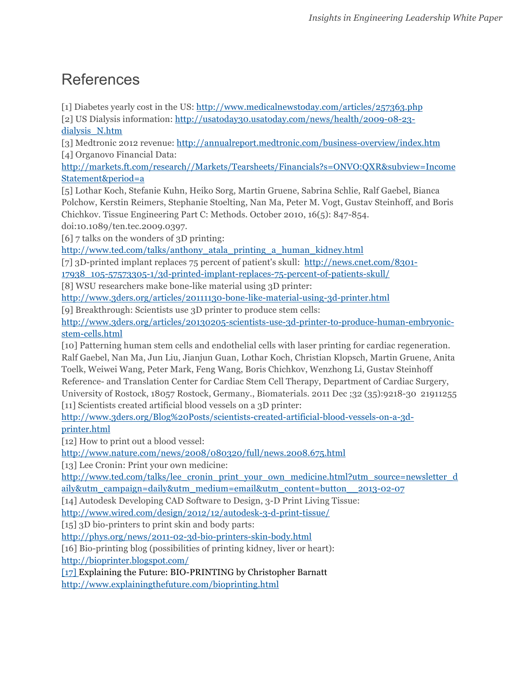### References

[1] Diabetes yearly cost in the US: http://www.medicalnewstoday.com/articles/257363.php

[2] US Dialysis information: http://usatoday30.usatoday.com/news/health/2009-08-23 dialysis\_N.htm

[3] Medtronic 2012 revenue: http://annualreport.medtronic.com/business-overview/index.htm [4] Organovo Financial Data:

http://markets.ft.com/research//Markets/Tearsheets/Financials?s=ONVO:QXR&subview=Income Statement&period=a

[5] Lothar Koch, Stefanie Kuhn, Heiko Sorg, Martin Gruene, Sabrina Schlie, Ralf Gaebel, Bianca Polchow, Kerstin Reimers, Stephanie Stoelting, Nan Ma, Peter M. Vogt, Gustav Steinhoff, and Boris Chichkov. Tissue Engineering Part C: Methods. October 2010, 16(5): 847-854.

doi:10.1089/ten.tec.2009.0397.

[6] 7 talks on the wonders of 3D printing:

http://www.ted.com/talks/anthony\_atala\_printing\_a\_human\_kidney.html

[7] 3D-printed implant replaces 75 percent of patient's skull: http://news.cnet.com/8301-

17938\_105-57573305-1/3d-printed-implant-replaces-75-percent-of-patients-skull/

[8] WSU researchers make bone-like material using 3D printer:

http://www.3ders.org/articles/20111130-bone-like-material-using-3d-printer.html

[9] Breakthrough: Scientists use 3D printer to produce stem cells:

http://www.3ders.org/articles/20130205-scientists-use-3d-printer-to-produce-human-embryonicstem-cells.html

[10] Patterning human stem cells and endothelial cells with laser printing for cardiac regeneration. Ralf Gaebel, Nan Ma, Jun Liu, Jianjun Guan, Lothar Koch, Christian Klopsch, Martin Gruene, Anita Toelk, Weiwei Wang, Peter Mark, Feng Wang, Boris Chichkov, Wenzhong Li, Gustav Steinhoff Reference- and Translation Center for Cardiac Stem Cell Therapy, Department of Cardiac Surgery, University of Rostock, 18057 Rostock, Germany., Biomaterials. 2011 Dec ;32 (35):9218-30 21911255 [11] Scientists created artificial blood vessels on a 3D printer:

http://www.3ders.org/Blog%20Posts/scientists-created-artificial-blood-vessels-on-a-3dprinter.html

[12] How to print out a blood vessel:

http://www.nature.com/news/2008/080320/full/news.2008.675.html

[13] Lee Cronin: Print your own medicine:

http://www.ted.com/talks/lee\_cronin\_print\_your\_own\_medicine.html?utm\_source=newsletter\_d aily&utm\_campaign=daily&utm\_medium=email&utm\_content=button\_\_2013-02-07

[14] Autodesk Developing CAD Software to Design, 3-D Print Living Tissue:

http://www.wired.com/design/2012/12/autodesk-3-d-print-tissue/

[15] 3D bio-printers to print skin and body parts:

http://phys.org/news/2011-02-3d-bio-printers-skin-body.html

[16] Bio-printing blog (possibilities of printing kidney, liver or heart):

http://bioprinter.blogspot.com/

[17] Explaining the Future: BIO-PRINTING by Christopher Barnatt

http://www.explainingthefuture.com/bioprinting.html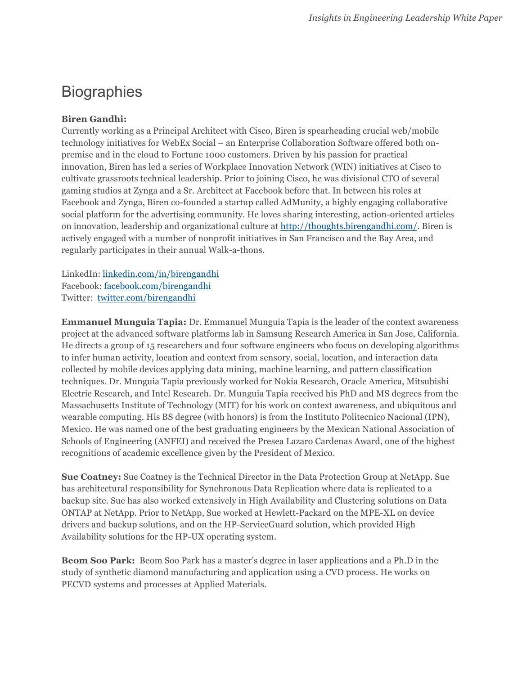### **Biographies**

#### **Biren Gandhi:**

Currently working as a Principal Architect with Cisco, Biren is spearheading crucial web/mobile technology initiatives for WebEx Social – an Enterprise Collaboration Software offered both onpremise and in the cloud to Fortune 1000 customers. Driven by his passion for practical innovation, Biren has led a series of Workplace Innovation Network (WIN) initiatives at Cisco to cultivate grassroots technical leadership. Prior to joining Cisco, he was divisional CTO of several gaming studios at Zynga and a Sr. Architect at Facebook before that. In between his roles at Facebook and Zynga, Biren co-founded a startup called AdMunity, a highly engaging collaborative social platform for the advertising community. He loves sharing interesting, action-oriented articles on innovation, leadership and organizational culture at http://thoughts.birengandhi.com/. Biren is actively engaged with a number of nonprofit initiatives in San Francisco and the Bay Area, and regularly participates in their annual Walk-a-thons.

LinkedIn: linkedin.com/in/birengandhi Facebook: facebook.com/birengandhi Twitter: twitter.com/birengandhi

**Emmanuel Munguia Tapia:** Dr. Emmanuel Munguia Tapia is the leader of the context awareness project at the advanced software platforms lab in Samsung Research America in San Jose, California. He directs a group of 15 researchers and four software engineers who focus on developing algorithms to infer human activity, location and context from sensory, social, location, and interaction data collected by mobile devices applying data mining, machine learning, and pattern classification techniques. Dr. Munguia Tapia previously worked for Nokia Research, Oracle America, Mitsubishi Electric Research, and Intel Research. Dr. Munguia Tapia received his PhD and MS degrees from the Massachusetts Institute of Technology (MIT) for his work on context awareness, and ubiquitous and wearable computing. His BS degree (with honors) is from the Instituto Politecnico Nacional (IPN), Mexico. He was named one of the best graduating engineers by the Mexican National Association of Schools of Engineering (ANFEI) and received the Presea Lazaro Cardenas Award, one of the highest recognitions of academic excellence given by the President of Mexico.

**Sue Coatney:** Sue Coatney is the Technical Director in the Data Protection Group at NetApp. Sue has architectural responsibility for Synchronous Data Replication where data is replicated to a backup site. Sue has also worked extensively in High Availability and Clustering solutions on Data ONTAP at NetApp. Prior to NetApp, Sue worked at Hewlett-Packard on the MPE-XL on device drivers and backup solutions, and on the HP-ServiceGuard solution, which provided High Availability solutions for the HP-UX operating system.

**Beom Soo Park:** Beom Soo Park has a master's degree in laser applications and a Ph.D in the study of synthetic diamond manufacturing and application using a CVD process. He works on PECVD systems and processes at Applied Materials.